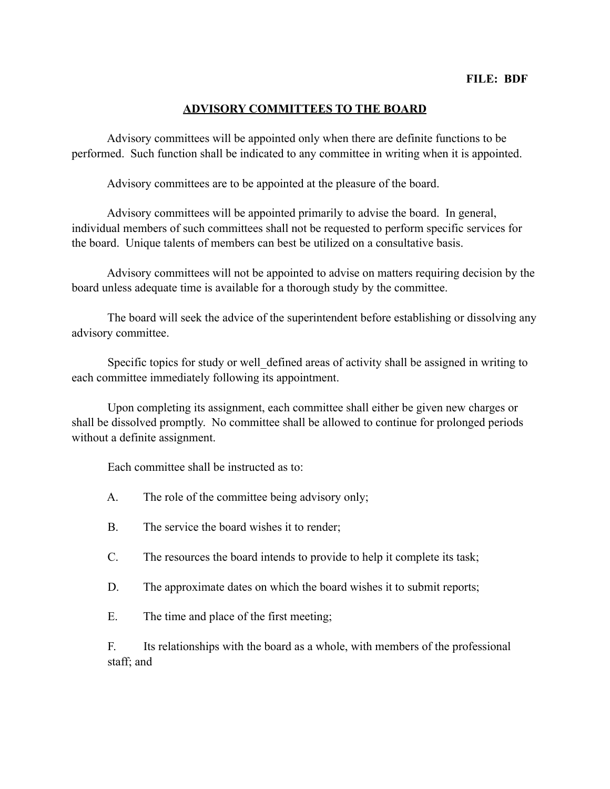## **ADVISORY COMMITTEES TO THE BOARD**

 Advisory committees will be appointed only when there are definite functions to be performed. Such function shall be indicated to any committee in writing when it is appointed.

Advisory committees are to be appointed at the pleasure of the board.

 Advisory committees will be appointed primarily to advise the board. In general, individual members of such committees shall not be requested to perform specific services for the board. Unique talents of members can best be utilized on a consultative basis.

 Advisory committees will not be appointed to advise on matters requiring decision by the board unless adequate time is available for a thorough study by the committee.

 The board will seek the advice of the superintendent before establishing or dissolving any advisory committee.

Specific topics for study or well defined areas of activity shall be assigned in writing to each committee immediately following its appointment.

 Upon completing its assignment, each committee shall either be given new charges or shall be dissolved promptly. No committee shall be allowed to continue for prolonged periods without a definite assignment.

Each committee shall be instructed as to:

- A. The role of the committee being advisory only;
- B. The service the board wishes it to render;
- C. The resources the board intends to provide to help it complete its task;
- D. The approximate dates on which the board wishes it to submit reports;
- E. The time and place of the first meeting;

F. Its relationships with the board as a whole, with members of the professional staff; and